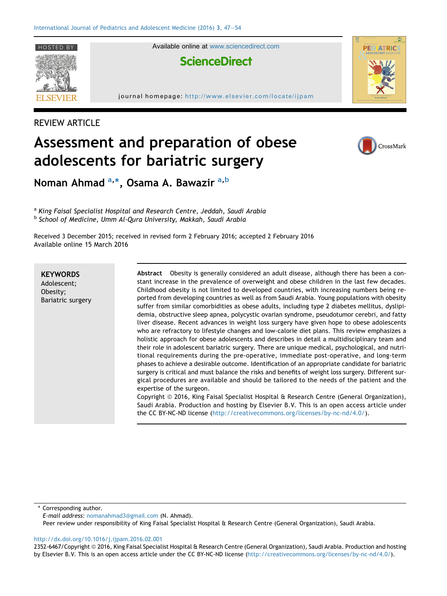

HOSTED BY **Available online at [www.sciencedirect.com](www.sciencedirect.com/science/journal/23526467)** 



journal homepage: <http://www.elsevier.com/locate/ijpam>







Noman Ahmad <sup>a,</sup>\*, Osama A. Bawazir <sup>a,b</sup>

a King Faisal Specialist Hospital and Research Centre, Jeddah, Saudi Arabia b School of Medicine, Umm Al-Qura University, Makkah, Saudi Arabia

adolescents for bariatric surgery

Received 3 December 2015; received in revised form 2 February 2016; accepted 2 February 2016 Available online 15 March 2016

Assessment and preparation of obese

**KEYWORDS** Adolescent; Obesity; Bariatric surgery Abstract Obesity is generally considered an adult disease, although there has been a constant increase in the prevalence of overweight and obese children in the last few decades. Childhood obesity is not limited to developed countries, with increasing numbers being reported from developing countries as well as from Saudi Arabia. Young populations with obesity suffer from similar comorbidities as obese adults, including type 2 diabetes mellitus, dyslipidemia, obstructive sleep apnea, polycystic ovarian syndrome, pseudotumor cerebri, and fatty liver disease. Recent advances in weight loss surgery have given hope to obese adolescents who are refractory to lifestyle changes and low-calorie diet plans. This review emphasizes a holistic approach for obese adolescents and describes in detail a multidisciplinary team and their role in adolescent bariatric surgery. There are unique medical, psychological, and nutritional requirements during the pre-operative, immediate post-operative, and long-term phases to achieve a desirable outcome. Identification of an appropriate candidate for bariatric surgery is critical and must balance the risks and benefits of weight loss surgery. Different surgical procedures are available and should be tailored to the needs of the patient and the expertise of the surgeon.

Copyright © 2016, King Faisal Specialist Hospital & Research Centre (General Organization), Saudi Arabia. Production and hosting by Elsevier B.V. This is an open access article under the CC BY-NC-ND license [\(http://creativecommons.org/licenses/by-nc-nd/4.0/](http://creativecommons.org/licenses/by-nc-nd/4.0/)).

Corresponding author.

E-mail address: [nomanahmad3@gmail.com](mailto:nomanahmad3@gmail.com) (N. Ahmad).

Peer review under responsibility of King Faisal Specialist Hospital & Research Centre (General Organization), Saudi Arabia.

<http://dx.doi.org/10.1016/j.ijpam.2016.02.001>

2352-6467/Copyright © 2016, King Faisal Specialist Hospital & Research Centre (General Organization), Saudi Arabia. Production and hosting by Elsevier B.V. This is an open access article under the CC BY-NC-ND license [\(http://creativecommons.org/licenses/by-nc-nd/4.0/\)](http://creativecommons.org/licenses/by-nc-nd/4.0/).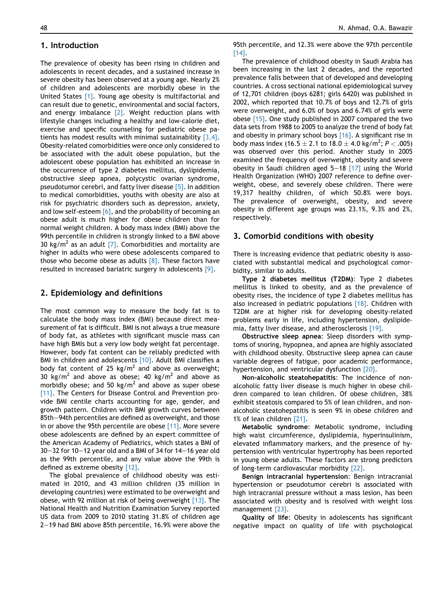## 1. Introduction

The prevalence of obesity has been rising in children and adolescents in recent decades, and a sustained increase in severe obesity has been observed at a young age. Nearly 2% of children and adolescents are morbidly obese in the United States [\[1\].](#page-5-0) Young age obesity is multifactorial and can result due to genetic, environmental and social factors, and energy imbalance  $[2]$ . Weight reduction plans with lifestyle changes including a healthy and low-calorie diet, exercise and specific counseling for pediatric obese patients has modest results with minimal sustainability [\[3,4\].](#page-5-0) Obesity-related comorbidities were once only considered to be associated with the adult obese population, but the adolescent obese population has exhibited an increase in the occurrence of type 2 diabetes mellitus, dyslipidemia, obstructive sleep apnea, polycystic ovarian syndrome, pseudotumor cerebri, and fatty liver disease [\[5\].](#page-5-0) In addition to medical comorbidities, youths with obesity are also at risk for psychiatric disorders such as depression, anxiety, and low self-esteem  $[6]$ , and the probability of becoming an obese adult is much higher for obese children than for normal weight children. A body mass index (BMI) above the 99th percentile in children is strongly linked to a BMI above 30 kg/m<sup>2</sup> as an adult [\[7\].](#page-6-0) Comorbidities and mortality are higher in adults who were obese adolescents compared to those who become obese as adults  $[8]$ . These factors have resulted in increased bariatric surgery in adolescents [\[9\]](#page-6-0).

### 2. Epidemiology and definitions

The most common way to measure the body fat is to calculate the body mass index (BMI) because direct measurement of fat is difficult. BMI is not always a true measure of body fat, as athletes with significant muscle mass can have high BMIs but a very low body weight fat percentage. However, body fat content can be reliably predicted with BMI in children and adolescents [\[10\].](#page-6-0) Adult BMI classifies a body fat content of 25 kg/m<sup>2</sup> and above as overweight; 30 kg/m<sup>2</sup> and above as obese; 40 kg/m<sup>2</sup> and above as morbidly obese; and 50 kg/ $m^2$  and above as super obese [\[11\].](#page-6-0) The Centers for Disease Control and Prevention provide BMI centile charts accounting for age, gender, and growth pattern. Children with BMI growth curves between 85th-94th percentiles are defined as overweight, and those in or above the 95th percentile are obese  $[11]$ . More severe obese adolescents are defined by an expert committee of the American Academy of Pediatrics, which states a BMI of  $30-32$  for 10-12 year old and a BMI of 34 for 14-16 year old as the 99th percentile, and any value above the 99th is defined as extreme obesity [\[12\]](#page-6-0).

The global prevalence of childhood obesity was estimated in 2010, and 43 million children (35 million in developing countries) were estimated to be overweight and obese, with 92 million at risk of being overweight [\[13\].](#page-6-0) The National Health and Nutrition Examination Survey reported US data from 2009 to 2010 stating 31.8% of children age  $2-19$  had BMI above 85th percentile, 16.9% were above the

95th percentile, and 12.3% were above the 97th percentile [\[14\].](#page-6-0)

The prevalence of childhood obesity in Saudi Arabia has been increasing in the last 2 decades, and the reported prevalence falls between that of developed and developing countries. A cross sectional national epidemiological survey of 12,701 children (boys 6281; girls 6420) was published in 2002, which reported that 10.7% of boys and 12.7% of girls were overweight, and 6.0% of boys and 6.74% of girls were obese [\[15\].](#page-6-0) One study published in 2007 compared the two data sets from 1988 to 2005 to analyze the trend of body fat and obesity in primary school boys [\[16\].](#page-6-0) A significant rise in body mass index (16.5  $\pm$  2.1 to 18.0  $\pm$  4.0 kg/m<sup>2</sup>; P < .005) was observed over this period. Another study in 2005 examined the frequency of overweight, obesity and severe obesity in Saudi children aged  $5-18$  [\[17\]](#page-6-0) using the World Health Organization (WHO) 2007 reference to define overweight, obese, and severely obese children. There were 19,317 healthy children, of which 50.8% were boys. The prevalence of overweight, obesity, and severe obesity in different age groups was 23.1%, 9.3% and 2%, respectively.

### 3. Comorbid conditions with obesity

There is increasing evidence that pediatric obesity is associated with substantial medical and psychological comorbidity, similar to adults.

Type 2 diabetes mellitus (T2DM): Type 2 diabetes mellitus is linked to obesity, and as the prevalence of obesity rises, the incidence of type 2 diabetes mellitus has also increased in pediatric populations [\[18\]](#page-6-0). Children with T2DM are at higher risk for developing obesity-related problems early in life, including hypertension, dyslipidemia, fatty liver disease, and atherosclerosis [\[19\]](#page-6-0).

Obstructive sleep apnea: Sleep disorders with symptoms of snoring, hypopnea, and apnea are highly associated with childhood obesity. Obstructive sleep apnea can cause variable degrees of fatigue, poor academic performance, hypertension, and ventricular dysfunction [\[20\].](#page-6-0)

Non-alcoholic steatohepatitis: The incidence of nonalcoholic fatty liver disease is much higher in obese children compared to lean children. Of obese children, 38% exhibit steatosis compared to 5% of lean children, and nonalcoholic steatohepatitis is seen 9% in obese children and 1% of lean children [\[21\]](#page-6-0).

Metabolic syndrome: Metabolic syndrome, including high waist circumference, dyslipidemia, hyperinsulinism, elevated inflammatory markers, and the presence of hypertension with ventricular hypertrophy has been reported in young obese adults. These factors are strong predictors of long-term cardiovascular morbidity [\[22\].](#page-6-0)

Benign intracranial hypertension: Benign intracranial hypertension or pseudotumor cerebri is associated with high intracranial pressure without a mass lesion, has been associated with obesity and is resolved with weight loss management [\[23\].](#page-6-0)

Quality of life: Obesity in adolescents has significant negative impact on quality of life with psychological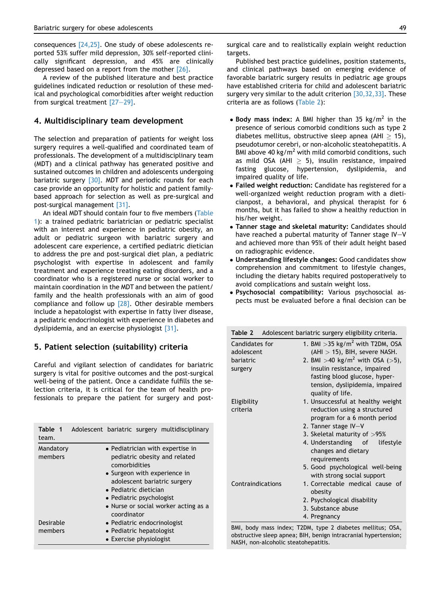consequences [\[24,25\]](#page-6-0). One study of obese adolescents reported 53% suffer mild depression, 30% self-reported clinically significant depression, and 45% are clinically depressed based on a report from the mother [\[26\].](#page-6-0)

A review of the published literature and best practice guidelines indicated reduction or resolution of these medical and psychological comorbidities after weight reduction from surgical treatment  $[27-29]$  $[27-29]$ .

## 4. Multidisciplinary team development

The selection and preparation of patients for weight loss surgery requires a well-qualified and coordinated team of professionals. The development of a multidisciplinary team (MDT) and a clinical pathway has generated positive and sustained outcomes in children and adolescents undergoing bariatric surgery [\[30\].](#page-6-0) MDT and periodic rounds for each case provide an opportunity for holistic and patient familybased approach for selection as well as pre-surgical and post-surgical management [\[31\].](#page-6-0)

An ideal MDT should contain four to five members (Table 1): a trained pediatric bariatrician or pediatric specialist with an interest and experience in pediatric obesity, an adult or pediatric surgeon with bariatric surgery and adolescent care experience, a certified pediatric dietician to address the pre and post-surgical diet plan, a pediatric psychologist with expertise in adolescent and family treatment and experience treating eating disorders, and a coordinator who is a registered nurse or social worker to maintain coordination in the MDT and between the patient/ family and the health professionals with an aim of good compliance and follow up  $[28]$ . Other desirable members include a hepatologist with expertise in fatty liver disease, a pediatric endocrinologist with experience in diabetes and dyslipidemia, and an exercise physiologist [\[31\]](#page-6-0).

## 5. Patient selection (suitability) criteria

Careful and vigilant selection of candidates for bariatric surgery is vital for positive outcomes and the post-surgical well-being of the patient. Once a candidate fulfills the selection criteria, it is critical for the team of health professionals to prepare the patient for surgery and post-

| Table 1<br>team.     |  |                                                                                                                    |  | Adolescent bariatric surgery multidisciplinary |
|----------------------|--|--------------------------------------------------------------------------------------------------------------------|--|------------------------------------------------|
| Mandatory<br>members |  | • Pediatrician with expertise in<br>pediatric obesity and related<br>comorbidities<br>• Surgeon with experience in |  |                                                |
|                      |  | adolescent bariatric surgery<br>• Pediatric dietician<br>• Pediatric psychologist                                  |  |                                                |
|                      |  |                                                                                                                    |  |                                                |
|                      |  | coordinator                                                                                                        |  | • Nurse or social worker acting as a           |
| Desirable            |  | • Pediatric endocrinologist                                                                                        |  |                                                |
| members              |  | • Pediatric hepatologist                                                                                           |  |                                                |
|                      |  | • Exercise physiologist                                                                                            |  |                                                |

surgical care and to realistically explain weight reduction targets.

Published best practice guidelines, position statements, and clinical pathways based on emerging evidence of favorable bariatric surgery results in pediatric age groups have established criteria for child and adolescent bariatric surgery very similar to the adult criterion [\[30,32,33\]](#page-6-0). These criteria are as follows (Table 2):

- Body mass index: A BMI higher than 35 kg/m<sup>2</sup> in the presence of serious comorbid conditions such as type 2 diabetes mellitus, obstructive sleep apnea (AHI  $>$  15), pseudotumor cerebri, or non-alcoholic steatohepatitis. A BMI above 40 kg/m<sup>2</sup> with mild comorbid conditions, such as mild OSA (AHI  $\geq$  5), insulin resistance, impaired<br>fasting glucose bypertension dyslinidemia and fasting glucose, hypertension, dyslipidemia, impaired quality of life.
- Failed weight reduction: Candidate has registered for a well-organized weight reduction program with a dieticianpost, a behavioral, and physical therapist for 6 months, but it has failed to show a healthy reduction in his/her weight.
- Tanner stage and skeletal maturity: Candidates should have reached a pubertal maturity of Tanner stage  $IV-V$ and achieved more than 95% of their adult height based on radiographic evidence.
- Understanding lifestyle changes: Good candidates show comprehension and commitment to lifestyle changes, including the dietary habits required postoperatively to avoid complications and sustain weight loss.
- Psychosocial compatibility: Various psychosocial aspects must be evaluated before a final decision can be

Table 2 Adolescent bariatric surgery eligibility criteria.

| Candidates for    | 1. BMI $>$ 35 kg/m <sup>2</sup> with T2DM, OSA             |
|-------------------|------------------------------------------------------------|
| adolescent        | $(AHI > 15)$ , BIH, severe NASH.                           |
| bariatric         | 2. BMI >40 kg/m <sup>2</sup> with OSA (>5),                |
| surgery           | insulin resistance, impaired                               |
|                   | fasting blood glucose, hyper-                              |
|                   | tension, dyslipidemia, impaired                            |
|                   | quality of life.                                           |
| Eligibility       | 1. Unsuccessful at healthy weight                          |
| criteria          | reduction using a structured                               |
|                   | program for a 6 month period                               |
|                   | 2. Tanner stage IV-V                                       |
|                   | 3. Skeletal maturity of $>95\%$                            |
|                   | 4. Understanding of<br>lifestyle                           |
|                   | changes and dietary                                        |
|                   | requirements                                               |
|                   | 5. Good psychological well-being                           |
|                   | with strong social support                                 |
| Contraindications | 1. Correctable medical cause of<br>obesity                 |
|                   | 2. Psychological disability                                |
|                   | 3. Substance abuse                                         |
|                   | 4. Pregnancy                                               |
|                   | BMI, body mass index; T2DM, type 2 diabetes mellitus; OSA, |

obstructive sleep apnea; BIH, benign intracranial hypertension; NASH, non-alcoholic steatohepatitis.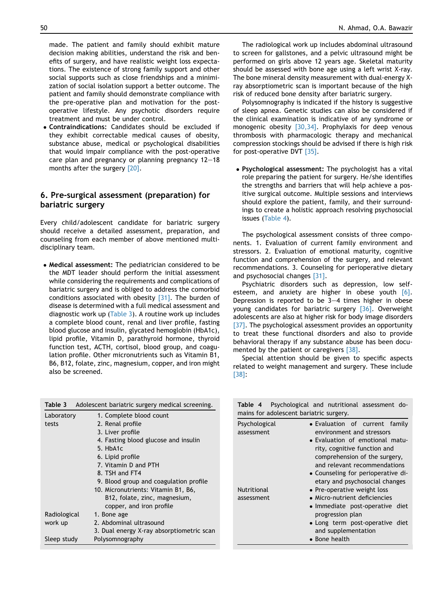<span id="page-3-0"></span>made. The patient and family should exhibit mature decision making abilities, understand the risk and benefits of surgery, and have realistic weight loss expectations. The existence of strong family support and other social supports such as close friendships and a minimization of social isolation support a better outcome. The patient and family should demonstrate compliance with the pre-operative plan and motivation for the postoperative lifestyle. Any psychotic disorders require treatment and must be under control.

 Contraindications: Candidates should be excluded if they exhibit correctable medical causes of obesity, substance abuse, medical or psychological disabilities that would impair compliance with the post-operative care plan and pregnancy or planning pregnancy  $12-18$ months after the surgery [\[20\].](#page-6-0)

# 6. Pre-surgical assessment (preparation) for bariatric surgery

Every child/adolescent candidate for bariatric surgery should receive a detailed assessment, preparation, and counseling from each member of above mentioned multidisciplinary team.

 Medical assessment: The pediatrician considered to be the MDT leader should perform the initial assessment while considering the requirements and complications of bariatric surgery and is obliged to address the comorbid conditions associated with obesity [\[31\].](#page-6-0) The burden of disease is determined with a full medical assessment and diagnostic work up (Table 3). A routine work up includes a complete blood count, renal and liver profile, fasting blood glucose and insulin, glycated hemoglobin (HbA1c), lipid profile, Vitamin D, parathyroid hormone, thyroid function test, ACTH, cortisol, blood group, and coagulation profile. Other micronutrients such as Vitamin B1, B6, B12, folate, zinc, magnesium, copper, and iron might also be screened.

The radiological work up includes abdominal ultrasound to screen for gallstones, and a pelvic ultrasound might be performed on girls above 12 years age. Skeletal maturity should be assessed with bone age using a left wrist X-ray. The bone mineral density measurement with dual-energy Xray absorptiometric scan is important because of the high risk of reduced bone density after bariatric surgery.

Polysomnography is indicated if the history is suggestive of sleep apnea. Genetic studies can also be considered if the clinical examination is indicative of any syndrome or monogenic obesity [\[30,34\].](#page-6-0) Prophylaxis for deep venous thrombosis with pharmacologic therapy and mechanical compression stockings should be advised if there is high risk for post-operative DVT [\[35\]](#page-6-0).

 Psychological assessment: The psychologist has a vital role preparing the patient for surgery. He/she identifies the strengths and barriers that will help achieve a positive surgical outcome. Multiple sessions and interviews should explore the patient, family, and their surroundings to create a holistic approach resolving psychosocial issues (Table 4).

The psychological assessment consists of three components. 1. Evaluation of current family environment and stressors. 2. Evaluation of emotional maturity, cognitive function and comprehension of the surgery, and relevant recommendations. 3. Counseling for perioperative dietary and psychosocial changes [\[31\].](#page-6-0)

Psychiatric disorders such as depression, low selfesteem, and anxiety are higher in obese youth  $[6]$ . Depression is reported to be  $3-4$  times higher in obese young candidates for bariatric surgery [\[36\]](#page-6-0). Overweight adolescents are also at higher risk for body image disorders [\[37\].](#page-6-0) The psychological assessment provides an opportunity to treat these functional disorders and also to provide behavioral therapy if any substance abuse has been documented by the patient or caregivers [\[38\]](#page-6-0).

Special attention should be given to specific aspects related to weight management and surgery. These include [\[38\]:](#page-6-0)

| mains for adolescent bariatric surgery.<br>1. Complete blood count<br>Laboratory<br>Psychological<br>2. Renal profile<br>• Evaluation of current family<br>tests | Psychological and nutritional assessment do- |
|------------------------------------------------------------------------------------------------------------------------------------------------------------------|----------------------------------------------|
|                                                                                                                                                                  |                                              |
|                                                                                                                                                                  |                                              |
| 3. Liver profile<br>environment and stressors<br>assessment                                                                                                      |                                              |
| 4. Fasting blood glucose and insulin<br>• Evaluation of emotional matu-                                                                                          |                                              |
| 5. HbA1c<br>rity, cognitive function and                                                                                                                         |                                              |
| comprehension of the surgery,<br>6. Lipid profile                                                                                                                |                                              |
| and relevant recommendations<br>7. Vitamin D and PTH                                                                                                             |                                              |
| 8. TSH and FT4<br>• Counseling for perioperative di-                                                                                                             |                                              |
| 9. Blood group and coagulation profile<br>etary and psychosocial changes                                                                                         |                                              |
| <b>Nutritional</b><br>• Pre-operative weight loss<br>10. Micronutrients: Vitamin B1, B6,                                                                         |                                              |
| • Micro-nutrient deficiencies<br>B12, folate, zinc, magnesium,<br>assessment                                                                                     |                                              |
| copper, and iron profile<br>• Immediate post-operative diet                                                                                                      |                                              |
| Radiological<br>progression plan<br>1. Bone age                                                                                                                  |                                              |
| 2. Abdominal ultrasound<br>work up<br>• Long term post-operative diet                                                                                            |                                              |
| 3. Dual energy X-ray absorptiometric scan<br>and supplementation                                                                                                 |                                              |
| Polysomnography<br>• Bone health<br>Sleep study                                                                                                                  |                                              |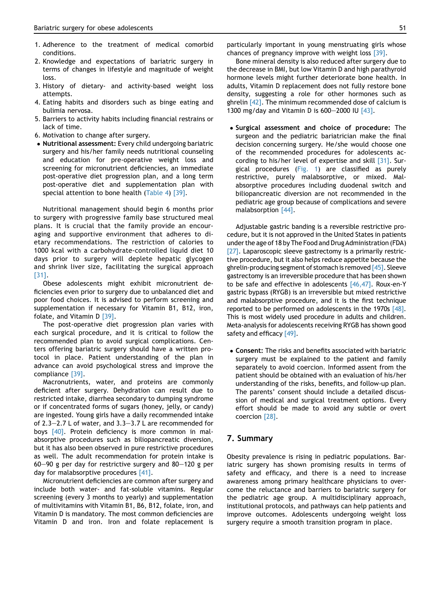- 1. Adherence to the treatment of medical comorbid conditions.
- 2. Knowledge and expectations of bariatric surgery in terms of changes in lifestyle and magnitude of weight loss.
- 3. History of dietary- and activity-based weight loss attempts.
- 4. Eating habits and disorders such as binge eating and bulimia nervosa.
- 5. Barriers to activity habits including financial restrains or lack of time.
- 6. Motivation to change after surgery.
- Nutritional assessment: Every child undergoing bariatric surgery and his/her family needs nutritional counseling and education for pre-operative weight loss and screening for micronutrient deficiencies, an immediate post-operative diet progression plan, and a long term post-operative diet and supplementation plan with special attention to bone health ([Table 4\)](#page-3-0) [\[39\].](#page-6-0)

Nutritional management should begin 6 months prior to surgery with progressive family base structured meal plans. It is crucial that the family provide an encouraging and supportive environment that adheres to dietary recommendations. The restriction of calories to 1000 kcal with a carbohydrate-controlled liquid diet 10 days prior to surgery will deplete hepatic glycogen and shrink liver size, facilitating the surgical approach [\[31\].](#page-6-0)

Obese adolescents might exhibit micronutrient deficiencies even prior to surgery due to unbalanced diet and poor food choices. It is advised to perform screening and supplementation if necessary for Vitamin B1, B12, iron, folate, and Vitamin D [\[39\].](#page-6-0)

The post-operative diet progression plan varies with each surgical procedure, and it is critical to follow the recommended plan to avoid surgical complications. Centers offering bariatric surgery should have a written protocol in place. Patient understanding of the plan in advance can avoid psychological stress and improve the compliance [\[39\]](#page-6-0).

Macronutrients, water, and proteins are commonly deficient after surgery. Dehydration can result due to restricted intake, diarrhea secondary to dumping syndrome or if concentrated forms of sugars (honey, jelly, or candy) are ingested. Young girls have a daily recommended intake of  $2.3-2.7$  L of water, and  $3.3-3.7$  L are recommended for boys [\[40\].](#page-6-0) Protein deficiency is more common in malabsorptive procedures such as biliopancreatic diversion, but it has also been observed in pure restrictive procedures as well. The adult recommendation for protein intake is  $60-90$  g per day for restrictive surgery and  $80-120$  g per day for malabsorptive procedures [\[41\]](#page-6-0).

Micronutrient deficiencies are common after surgery and include both water- and fat-soluble vitamins. Regular screening (every 3 months to yearly) and supplementation of multivitamins with Vitamin B1, B6, B12, folate, iron, and Vitamin D is mandatory. The most common deficiencies are Vitamin D and iron. Iron and folate replacement is particularly important in young menstruating girls whose chances of pregnancy improve with weight loss [\[39\].](#page-6-0)

Bone mineral density is also reduced after surgery due to the decrease in BMI, but low Vitamin D and high parathyroid hormone levels might further deteriorate bone health. In adults, Vitamin D replacement does not fully restore bone density, suggesting a role for other hormones such as ghrelin [\[42\]](#page-6-0). The minimum recommended dose of calcium is 1300 mg/day and Vitamin D is  $600-2000$  IU  $[43]$ .

 Surgical assessment and choice of procedure: The surgeon and the pediatric bariatrician make the final decision concerning surgery. He/she would choose one of the recommended procedures for adolescents according to his/her level of expertise and skill [\[31\]](#page-6-0). Surgical procedures [\(Fig. 1\)](#page-5-0) are classified as purely restrictive, purely malabsorptive, or mixed. Malabsorptive procedures including duodenal switch and biliopancreatic diversion are not recommended in the pediatric age group because of complications and severe malabsorption [\[44\].](#page-7-0)

Adjustable gastric banding is a reversible restrictive procedure, but it is not approved in the United States in patients under the age of 18 by The Food and Drug Administration (FDA) [\[27\].](#page-6-0) Laparoscopic sleeve gastrectomy is a primarily restrictive procedure, but it also helps reduce appetite because the ghrelin-producing segment of stomach is removed  $[45]$ . Sleeve gastrectomy is an irreversible procedure that has been shown to be safe and effective in adolescents [\[46,47\]](#page-7-0). Roux-en-Y gastric bypass (RYGB) is an irreversible but mixed restrictive and malabsorptive procedure, and it is the first technique reported to be performed on adolescents in the 1970s [\[48\]](#page-7-0). This is most widely used procedure in adults and children. Meta-analysis for adolescents receiving RYGB has shown good safety and efficacy [\[49\]](#page-7-0).

 Consent: The risks and benefits associated with bariatric surgery must be explained to the patient and family separately to avoid coercion. Informed assent from the patient should be obtained with an evaluation of his/her understanding of the risks, benefits, and follow-up plan. The parents' consent should include a detailed discussion of medical and surgical treatment options. Every effort should be made to avoid any subtle or overt coercion [\[28\].](#page-6-0)

## 7. Summary

Obesity prevalence is rising in pediatric populations. Bariatric surgery has shown promising results in terms of safety and efficacy, and there is a need to increase awareness among primary healthcare physicians to overcome the reluctance and barriers to bariatric surgery for the pediatric age group. A multidisciplinary approach, institutional protocols, and pathways can help patients and improve outcomes. Adolescents undergoing weight loss surgery require a smooth transition program in place.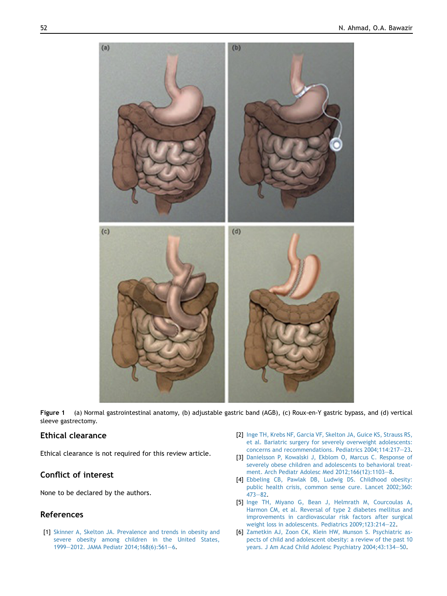<span id="page-5-0"></span>

Figure 1 (a) Normal gastrointestinal anatomy, (b) adjustable gastric band (AGB), (c) Roux-en-Y gastric bypass, and (d) vertical sleeve gastrectomy.

# Ethical clearance

Ethical clearance is not required for this review article.

# Conflict of interest

None to be declared by the authors.

## References

[1] [Skinner A, Skelton JA. Prevalence and trends in obesity and](http://refhub.elsevier.com/S2352-6467(16)00007-7/sref1) [severe obesity among children in the United States,](http://refhub.elsevier.com/S2352-6467(16)00007-7/sref1) [1999](http://refhub.elsevier.com/S2352-6467(16)00007-7/sref1)-[2012. JAMA Pediatr 2014;168\(6\):561](http://refhub.elsevier.com/S2352-6467(16)00007-7/sref1)-[6.](http://refhub.elsevier.com/S2352-6467(16)00007-7/sref1)

- [2] [Inge TH, Krebs NF, Garcia VF, Skelton JA, Guice KS, Strauss RS,](http://refhub.elsevier.com/S2352-6467(16)00007-7/sref2) [et al. Bariatric surgery for severely overweight adolescents:](http://refhub.elsevier.com/S2352-6467(16)00007-7/sref2) [concerns and recommendations. Pediatrics 2004;114:217](http://refhub.elsevier.com/S2352-6467(16)00007-7/sref2)-[23](http://refhub.elsevier.com/S2352-6467(16)00007-7/sref2).
- [3] [Danielsson P, Kowalski J, Ekblom O, Marcus C. Response of](http://refhub.elsevier.com/S2352-6467(16)00007-7/sref3) [severely obese children and adolescents to behavioral treat](http://refhub.elsevier.com/S2352-6467(16)00007-7/sref3)[ment. Arch Pediatr Adolesc Med 2012;166\(12\):1103](http://refhub.elsevier.com/S2352-6467(16)00007-7/sref3)-[8.](http://refhub.elsevier.com/S2352-6467(16)00007-7/sref3)
- [4] [Ebbeling CB, Pawlak DB, Ludwig DS. Childhood obesity:](http://refhub.elsevier.com/S2352-6467(16)00007-7/sref4) [public health crisis, common sense cure. Lancet 2002;360:](http://refhub.elsevier.com/S2352-6467(16)00007-7/sref4)  $473 - 82.$  $473 - 82.$  $473 - 82.$  $473 - 82.$
- [5] [Inge TH, Miyano G, Bean J, Helmrath M, Courcoulas A,](http://refhub.elsevier.com/S2352-6467(16)00007-7/sref5) [Harmon CM, et al. Reversal of type 2 diabetes mellitus and](http://refhub.elsevier.com/S2352-6467(16)00007-7/sref5) [improvements in cardiovascular risk factors after surgical](http://refhub.elsevier.com/S2352-6467(16)00007-7/sref5) [weight loss in adolescents. Pediatrics 2009;123:214](http://refhub.elsevier.com/S2352-6467(16)00007-7/sref5)-[22](http://refhub.elsevier.com/S2352-6467(16)00007-7/sref5).
- [6] [Zametkin AJ, Zoon CK, Klein HW, Munson S. Psychiatric as](http://refhub.elsevier.com/S2352-6467(16)00007-7/sref6)[pects of child and adolescent obesity: a review of the past 10](http://refhub.elsevier.com/S2352-6467(16)00007-7/sref6) [years. J Am Acad Child Adolesc Psychiatry 2004;43:134](http://refhub.elsevier.com/S2352-6467(16)00007-7/sref6)-[50](http://refhub.elsevier.com/S2352-6467(16)00007-7/sref6).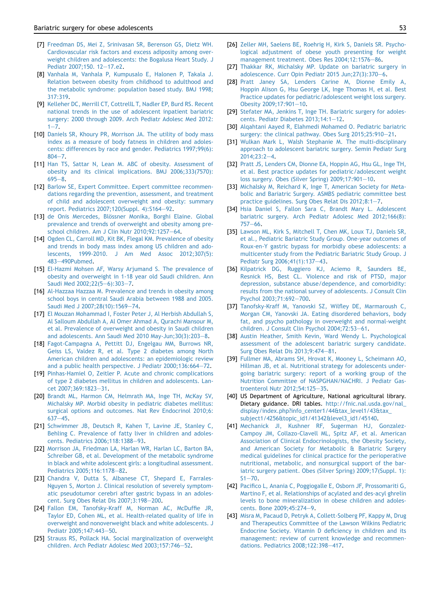- <span id="page-6-0"></span>[7] [Freedman DS, Mei Z, Srinivasan SR, Berenson GS, Dietz WH.](http://refhub.elsevier.com/S2352-6467(16)00007-7/sref7) [Cardiovascular risk factors and excess adiposity among over](http://refhub.elsevier.com/S2352-6467(16)00007-7/sref7)[weight children and adolescents: the Bogalusa Heart Study. J](http://refhub.elsevier.com/S2352-6467(16)00007-7/sref7) [Pediatr 2007;150. 12](http://refhub.elsevier.com/S2352-6467(16)00007-7/sref7)-[17.e2](http://refhub.elsevier.com/S2352-6467(16)00007-7/sref7).
- [8] [Vanhala M, Vanhala P, Kumpusalo E, Halonen P, Takala J.](http://refhub.elsevier.com/S2352-6467(16)00007-7/sref8) [Relation between obesity from childhood to adulthood and](http://refhub.elsevier.com/S2352-6467(16)00007-7/sref8) [the metabolic syndrome: population based study. BMJ 1998;](http://refhub.elsevier.com/S2352-6467(16)00007-7/sref8) [317:319.](http://refhub.elsevier.com/S2352-6467(16)00007-7/sref8)
- [9] [Kelleher DC, Merrill CT, CottrellL T, Nadler EP, Burd RS. Recent](http://refhub.elsevier.com/S2352-6467(16)00007-7/sref9) [national trends in the use of adolescent inpatient bariatric](http://refhub.elsevier.com/S2352-6467(16)00007-7/sref9) [surgery: 2000 through 2009. Arch Pediatr Adolesc Med 2012:](http://refhub.elsevier.com/S2352-6467(16)00007-7/sref9)  $1 - 7.$  $1 - 7.$  $1 - 7.$  $1 - 7.$
- [10] [Daniels SR, Khoury PR, Morrison JA. The utility of body mass](http://refhub.elsevier.com/S2352-6467(16)00007-7/sref10) [index as a measure of body fatness in children and adoles](http://refhub.elsevier.com/S2352-6467(16)00007-7/sref10)[cents: differences by race and gender. Pediatrics 1997;99\(6\):](http://refhub.elsevier.com/S2352-6467(16)00007-7/sref10)  $804 - 7.$  $804 - 7.$  $804 - 7.$
- [11] [Han TS, Sattar N, Lean M. ABC of obesity. Assessment of](http://refhub.elsevier.com/S2352-6467(16)00007-7/sref11) [obesity and its clinical implications. BMJ 2006;333\(7570\):](http://refhub.elsevier.com/S2352-6467(16)00007-7/sref11)  $695 - 8.$  $695 - 8.$  $695 - 8.$
- [12] [Barlow SE, Expert Committee. Expert committee recommen](http://refhub.elsevier.com/S2352-6467(16)00007-7/sref12)[dations regarding the prevention, assessment, and treatment](http://refhub.elsevier.com/S2352-6467(16)00007-7/sref12) [of child and adolescent overweight and obesity: summary](http://refhub.elsevier.com/S2352-6467(16)00007-7/sref12) [report. Pediatrics 2007;120\(Suppl. 4\):S164](http://refhub.elsevier.com/S2352-6467(16)00007-7/sref12)-[92](http://refhub.elsevier.com/S2352-6467(16)00007-7/sref12).
- [13] de Onis Mercedes, Blössner Monika, Borghi Elaine. Global [prevalence and trends of overweight and obesity among pre](http://refhub.elsevier.com/S2352-6467(16)00007-7/sref13)[school children. Am J Clin Nutr 2010;92:1257](http://refhub.elsevier.com/S2352-6467(16)00007-7/sref13)-[64.](http://refhub.elsevier.com/S2352-6467(16)00007-7/sref13)
- [14] [Ogden CL, Carroll MD, Kit BK, Flegal KM. Prevalence of obesity](http://refhub.elsevier.com/S2352-6467(16)00007-7/sref14) [and trends in body mass index among US children and ado](http://refhub.elsevier.com/S2352-6467(16)00007-7/sref14)[lescents, 1999-2010. J Am Med Assoc 2012;307\(5\):](http://refhub.elsevier.com/S2352-6467(16)00007-7/sref14) [483](http://refhub.elsevier.com/S2352-6467(16)00007-7/sref14)-[490Pubmed](http://refhub.elsevier.com/S2352-6467(16)00007-7/sref14).
- [15] [El-Hazmi Mohsen AF, Warsy Arjumand S. The prevalence of](http://refhub.elsevier.com/S2352-6467(16)00007-7/sref15) [obesity and overweight in 1-18 year old Saudi children. Ann](http://refhub.elsevier.com/S2352-6467(16)00007-7/sref15) [Saudi Med 2002;22\(5](http://refhub.elsevier.com/S2352-6467(16)00007-7/sref15)-[6\):303](http://refhub.elsevier.com/S2352-6467(16)00007-7/sref15)-[7.](http://refhub.elsevier.com/S2352-6467(16)00007-7/sref15)
- [16] [Al-Hazzaa Hazzaa M. Prevalence and trends in obesity among](http://refhub.elsevier.com/S2352-6467(16)00007-7/sref16) [school boys in central Saudi Arabia between 1988 and 2005.](http://refhub.elsevier.com/S2352-6467(16)00007-7/sref16) [Saudi Med J 2007;28\(10\):1569](http://refhub.elsevier.com/S2352-6467(16)00007-7/sref16)-[74](http://refhub.elsevier.com/S2352-6467(16)00007-7/sref16).
- [17] [El Mouzan Mohammad I, Foster Peter J, Al Herbish Abdullah S,](http://refhub.elsevier.com/S2352-6467(16)00007-7/sref17) [Al Salloum Abdullah A, Al Omer Ahmad A, Qurachi Mansour M,](http://refhub.elsevier.com/S2352-6467(16)00007-7/sref17) [et al. Prevalence of overweight and obesity in Saudi children](http://refhub.elsevier.com/S2352-6467(16)00007-7/sref17) and adolescents. Ann Saudi Med 2010 May-Jun;  $30(3)$ :  $203-8$ .
- [18] [Fagot-Campagna A, Pettitt DJ, Engelgau MM, Burrows NR,](http://refhub.elsevier.com/S2352-6467(16)00007-7/sref18) [Geiss LS, Valdez R, et al. Type 2 diabetes among North](http://refhub.elsevier.com/S2352-6467(16)00007-7/sref18) [American children and adolescents: an epidemiologic review](http://refhub.elsevier.com/S2352-6467(16)00007-7/sref18) [and a public health perspective. J Pediatr 2000;136:664](http://refhub.elsevier.com/S2352-6467(16)00007-7/sref18)-[72.](http://refhub.elsevier.com/S2352-6467(16)00007-7/sref18)
- [19] [Pinhas-Hamiel O, Zeitler P. Acute and chronic complications](http://refhub.elsevier.com/S2352-6467(16)00007-7/sref19) [of type 2 diabetes mellitus in children and adolescents. Lan](http://refhub.elsevier.com/S2352-6467(16)00007-7/sref19)[cet 2007;369:1823](http://refhub.elsevier.com/S2352-6467(16)00007-7/sref19)-[31](http://refhub.elsevier.com/S2352-6467(16)00007-7/sref19).
- [20] [Brandt ML, Harmon CM, Helmrath MA, Inge TH, McKay SV,](http://refhub.elsevier.com/S2352-6467(16)00007-7/sref20) [Michalsky MP. Morbid obesity in pediatric diabetes mellitus:](http://refhub.elsevier.com/S2352-6467(16)00007-7/sref20) [surgical options and outcomes. Nat Rev Endocrinol 2010;6:](http://refhub.elsevier.com/S2352-6467(16)00007-7/sref20)  $637 - 45.$  $637 - 45.$  $637 - 45.$  $637 - 45.$
- [21] [Schwimmer JB, Deutsch R, Kahen T, Lavine JE, Stanley C,](http://refhub.elsevier.com/S2352-6467(16)00007-7/sref21) [Behling C. Prevalence of fatty liver in children and adoles](http://refhub.elsevier.com/S2352-6467(16)00007-7/sref21)[cents. Pediatrics 2006;118:1388](http://refhub.elsevier.com/S2352-6467(16)00007-7/sref21)-[93.](http://refhub.elsevier.com/S2352-6467(16)00007-7/sref21)
- [22] [Morrison JA, Friedman LA, Harlan WR, Harlan LC, Barton BA,](http://refhub.elsevier.com/S2352-6467(16)00007-7/sref22) [Schreiber GB, et al. Development of the metabolic syndrome](http://refhub.elsevier.com/S2352-6467(16)00007-7/sref22) [in black and white adolescent girls: a longitudinal assessment.](http://refhub.elsevier.com/S2352-6467(16)00007-7/sref22) [Pediatrics 2005;116:1178](http://refhub.elsevier.com/S2352-6467(16)00007-7/sref22)-[82.](http://refhub.elsevier.com/S2352-6467(16)00007-7/sref22)
- [23] [Chandra V, Dutta S, Albanese CT, Shepard E, Farrales-](http://refhub.elsevier.com/S2352-6467(16)00007-7/sref23)[Nguyen S, Morton J. Clinical resolution of severely symptom](http://refhub.elsevier.com/S2352-6467(16)00007-7/sref23)[atic pseudotumor cerebri after gastric bypass in an adoles-](http://refhub.elsevier.com/S2352-6467(16)00007-7/sref23)cent. Surg Obes Relat Dis [200](http://refhub.elsevier.com/S2352-6467(16)00007-7/sref23)7:3:198-200.
- [24] [Fallon EM, Tanofsky-Kraff M, Norman AC, McDuffie JR,](http://refhub.elsevier.com/S2352-6467(16)00007-7/sref24) [Taylor ED, Cohen ML, et al. Health-related quality of life in](http://refhub.elsevier.com/S2352-6467(16)00007-7/sref24) [overweight and nonoverweight black and white adolescents. J](http://refhub.elsevier.com/S2352-6467(16)00007-7/sref24) Pediatr 2005:147:443-[50](http://refhub.elsevier.com/S2352-6467(16)00007-7/sref24).
- [25] [Strauss RS, Pollack HA. Social marginalization of overweight](http://refhub.elsevier.com/S2352-6467(16)00007-7/sref25) [children. Arch Pediatr Adolesc Med 2003;157:746](http://refhub.elsevier.com/S2352-6467(16)00007-7/sref25)-[52](http://refhub.elsevier.com/S2352-6467(16)00007-7/sref25).
- [26] [Zeller MH, Saelens BE, Roehrig H, Kirk S, Daniels SR. Psycho](http://refhub.elsevier.com/S2352-6467(16)00007-7/sref26)[logical adjustment of obese youth presenting for weight](http://refhub.elsevier.com/S2352-6467(16)00007-7/sref26) [management treatment. Obes Res 2004;12:1576](http://refhub.elsevier.com/S2352-6467(16)00007-7/sref26)-[86.](http://refhub.elsevier.com/S2352-6467(16)00007-7/sref26)
- [27] [Thakkar RK, Michalsky MP. Update on bariatric surgery in](http://refhub.elsevier.com/S2352-6467(16)00007-7/sref27) [adolescence. Curr Opin Pediatr 2015 Jun;27\(3\):370](http://refhub.elsevier.com/S2352-6467(16)00007-7/sref27)-[6.](http://refhub.elsevier.com/S2352-6467(16)00007-7/sref27)
- [28] [Pratt Janey SA, Lenders Carine M, Dionne Emily A,](http://refhub.elsevier.com/S2352-6467(16)00007-7/sref28) [Hoppin Alison G, Hsu George LK, Inge Thomas H, et al. Best](http://refhub.elsevier.com/S2352-6467(16)00007-7/sref28) [Practice updates for pediatric/adolescent weight loss surgery.](http://refhub.elsevier.com/S2352-6467(16)00007-7/sref28) [Obesity 2009;17:901](http://refhub.elsevier.com/S2352-6467(16)00007-7/sref28)-[10](http://refhub.elsevier.com/S2352-6467(16)00007-7/sref28).
- [29] Stefater MA, Jenkins T, Inge TH, Bariatric surgery for adoles[cents. Pediatr Diabetes 2013;14:1](http://refhub.elsevier.com/S2352-6467(16)00007-7/sref29)-[12](http://refhub.elsevier.com/S2352-6467(16)00007-7/sref29).
- [30] [Alqahtani Aayed R, Elahmedi Mohamed O. Pediatric bariatric](http://refhub.elsevier.com/S2352-6467(16)00007-7/sref30) [surgery: the clinical pathway. Obes Surg 2015;25:910](http://refhub.elsevier.com/S2352-6467(16)00007-7/sref30)-[21.](http://refhub.elsevier.com/S2352-6467(16)00007-7/sref30)
- [31] [Wulkan Mark L, Walsh Stephanie M. The multi-disciplinary](http://refhub.elsevier.com/S2352-6467(16)00007-7/sref31) [approach to adolescent bariatric surgery. Semin Pediatr Surg](http://refhub.elsevier.com/S2352-6467(16)00007-7/sref31)  $2014:23:2-4.$  $2014:23:2-4.$  $2014:23:2-4.$
- [32] [Pratt JS, Lenders CM, Dionne EA, Hoppin AG, Hsu GL, Inge TH,](http://refhub.elsevier.com/S2352-6467(16)00007-7/sref32) [et al. Best practice updates for pediatric/adolescent weight](http://refhub.elsevier.com/S2352-6467(16)00007-7/sref32) [loss surgery. Obes \(Silver Spring\) 2009;17:901](http://refhub.elsevier.com/S2352-6467(16)00007-7/sref32)-[10.](http://refhub.elsevier.com/S2352-6467(16)00007-7/sref32)
- [33] [Michalsky M, Reichard K, Inge T, American Society for Meta](http://refhub.elsevier.com/S2352-6467(16)00007-7/sref33)[bolic and Bariatric Surgery. ASMBS pediatric committee best](http://refhub.elsevier.com/S2352-6467(16)00007-7/sref33) [practice guidelines. Surg Obes Relat Dis 2012;8:1](http://refhub.elsevier.com/S2352-6467(16)00007-7/sref33)-[7](http://refhub.elsevier.com/S2352-6467(16)00007-7/sref33).
- [34] [Hsia Daniel S, Fallon Sara C, Brandt Mary L. Adolescent](http://refhub.elsevier.com/S2352-6467(16)00007-7/sref34) [bariatric surgery. Arch Pediatr Adolesc Med 2012;166\(8\):](http://refhub.elsevier.com/S2352-6467(16)00007-7/sref34)  $757 - 66.$  $757 - 66.$  $757 - 66.$  $757 - 66.$
- [35] [Lawson ML, Kirk S, Mitchell T, Chen MK, Loux TJ, Daniels SR,](http://refhub.elsevier.com/S2352-6467(16)00007-7/sref35) [et al., Pediatric Bariatric Study Group. One-year outcomes of](http://refhub.elsevier.com/S2352-6467(16)00007-7/sref35) [Roux-en-Y gastric bypass for morbidly obese adolescents: a](http://refhub.elsevier.com/S2352-6467(16)00007-7/sref35) [multicenter study from the Pediatric Bariatric Study Group. J](http://refhub.elsevier.com/S2352-6467(16)00007-7/sref35) [Pediatr Surg 2006;41\(1\):137](http://refhub.elsevier.com/S2352-6467(16)00007-7/sref35)-[43](http://refhub.elsevier.com/S2352-6467(16)00007-7/sref35).
- [36] [Kilpatrick DG, Ruggiero KJ, Aciemo R, Saunders BE,](http://refhub.elsevier.com/S2352-6467(16)00007-7/sref36) [Resnick HS, Best CL. Violence and risk of PTSD, major](http://refhub.elsevier.com/S2352-6467(16)00007-7/sref36) [depression, substance abuse/dependence, and comorbidity:](http://refhub.elsevier.com/S2352-6467(16)00007-7/sref36) [results from the national survey of adolescents. J Consult Clin](http://refhub.elsevier.com/S2352-6467(16)00007-7/sref36) Psychol 2003:71:692-[700](http://refhub.elsevier.com/S2352-6467(16)00007-7/sref36).
- [37] [Tanofsky-Kraff M, Yanovski SZ, Wilfley DE, Marmaroush C,](http://refhub.elsevier.com/S2352-6467(16)00007-7/sref37) [Morgan CM, Yanovski JA. Eating disordered behaviors, body](http://refhub.elsevier.com/S2352-6467(16)00007-7/sref37) [fat, and psycho pathology in overweight and normal-weight](http://refhub.elsevier.com/S2352-6467(16)00007-7/sref37) [children. J Consult Clin Psychol 2004;72:53](http://refhub.elsevier.com/S2352-6467(16)00007-7/sref37)-[61.](http://refhub.elsevier.com/S2352-6467(16)00007-7/sref37)
- [38] [Austin Heather, Smith Kevin, Ward Wendy L. Psychological](http://refhub.elsevier.com/S2352-6467(16)00007-7/sref38) [assessment of the adolescent bariatric surgery candidate.](http://refhub.elsevier.com/S2352-6467(16)00007-7/sref38) [Surg Obes Relat Dis 2013;9:474](http://refhub.elsevier.com/S2352-6467(16)00007-7/sref38)-[81.](http://refhub.elsevier.com/S2352-6467(16)00007-7/sref38)
- [39] [Fullmer MA, Abrams SH, Hrovat K, Mooney L, Scheimann AO,](http://refhub.elsevier.com/S2352-6467(16)00007-7/sref39) [Hillman JB, et al. Nutritional strategy for adolescents under](http://refhub.elsevier.com/S2352-6467(16)00007-7/sref39)[going bariatric surgery: report of a working group of the](http://refhub.elsevier.com/S2352-6467(16)00007-7/sref39) [Nutrition Committee of NASPGHAN/NACHRI. J Pediatr Gas](http://refhub.elsevier.com/S2352-6467(16)00007-7/sref39)[troenterol Nutr 2012;54:125](http://refhub.elsevier.com/S2352-6467(16)00007-7/sref39)-[35](http://refhub.elsevier.com/S2352-6467(16)00007-7/sref39).
- [40] US Department of Agriculture, National agricultural library. Dietary guidance. DRI tables. [http://fnic.nal.usda.gov/nal\\_](http://fnic.nal.usda.gov/nal_display/index.php?info_center1/44&tax_level1/43&tax_subject1/4256&topic_id1/41342&level3_id1/45140) [display/index.php?info\\_center1/44&tax\\_level1/43&tax\\_](http://fnic.nal.usda.gov/nal_display/index.php?info_center1/44&tax_level1/43&tax_subject1/4256&topic_id1/41342&level3_id1/45140) [subject1/4256&topic\\_id1/41342&level3\\_id1/45140](http://fnic.nal.usda.gov/nal_display/index.php?info_center1/44&tax_level1/43&tax_subject1/4256&topic_id1/41342&level3_id1/45140).
- [41] [Mechanick JI, Kushner RF, Sugerman HJ, Gonzalez-](http://refhub.elsevier.com/S2352-6467(16)00007-7/sref41)[Campoy JM, Collazo-Clavell ML, Spitz AF, et al. American](http://refhub.elsevier.com/S2352-6467(16)00007-7/sref41) [Association of Clinical Endocrinologists, the Obesity Society,](http://refhub.elsevier.com/S2352-6467(16)00007-7/sref41) [and American Society for Metabolic & Bariatric Surgery](http://refhub.elsevier.com/S2352-6467(16)00007-7/sref41) [medical guidelines for clinical practice for the perioperative](http://refhub.elsevier.com/S2352-6467(16)00007-7/sref41) [nutritional, metabolic, and nonsurgical support of the bar](http://refhub.elsevier.com/S2352-6467(16)00007-7/sref41)[iatric surgery patient. Obes \(Silver Spring\) 2009;17\(Suppl. 1\):](http://refhub.elsevier.com/S2352-6467(16)00007-7/sref41)  $S1 - 70.$  $S1 - 70.$  $S1 - 70.$
- [42] [Pacifico L, Anania C, Poggiogalle E, Osborn JF, Prossomariti G,](http://refhub.elsevier.com/S2352-6467(16)00007-7/sref42) [Martino F, et al. Relationships of acylated and des-acyl ghrelin](http://refhub.elsevier.com/S2352-6467(16)00007-7/sref42) [levels to bone mineralization in obese children and adoles](http://refhub.elsevier.com/S2352-6467(16)00007-7/sref42)[cents. Bone 2009;45:274](http://refhub.elsevier.com/S2352-6467(16)00007-7/sref42)-[9.](http://refhub.elsevier.com/S2352-6467(16)00007-7/sref42)
- [43] [Misra M, Pacaud D, Petryk A, Collett-Solberg PF, Kappy M, Drug](http://refhub.elsevier.com/S2352-6467(16)00007-7/sref43) [and Therapeutics Committee of the Lawson Wilkins Pediatric](http://refhub.elsevier.com/S2352-6467(16)00007-7/sref43) [Endocrine Society. Vitamin D deficiency in children and its](http://refhub.elsevier.com/S2352-6467(16)00007-7/sref43) [management: review of current knowledge and recommen](http://refhub.elsevier.com/S2352-6467(16)00007-7/sref43)[dations. Pediatrics 2008;122:398](http://refhub.elsevier.com/S2352-6467(16)00007-7/sref43)-[417](http://refhub.elsevier.com/S2352-6467(16)00007-7/sref43).